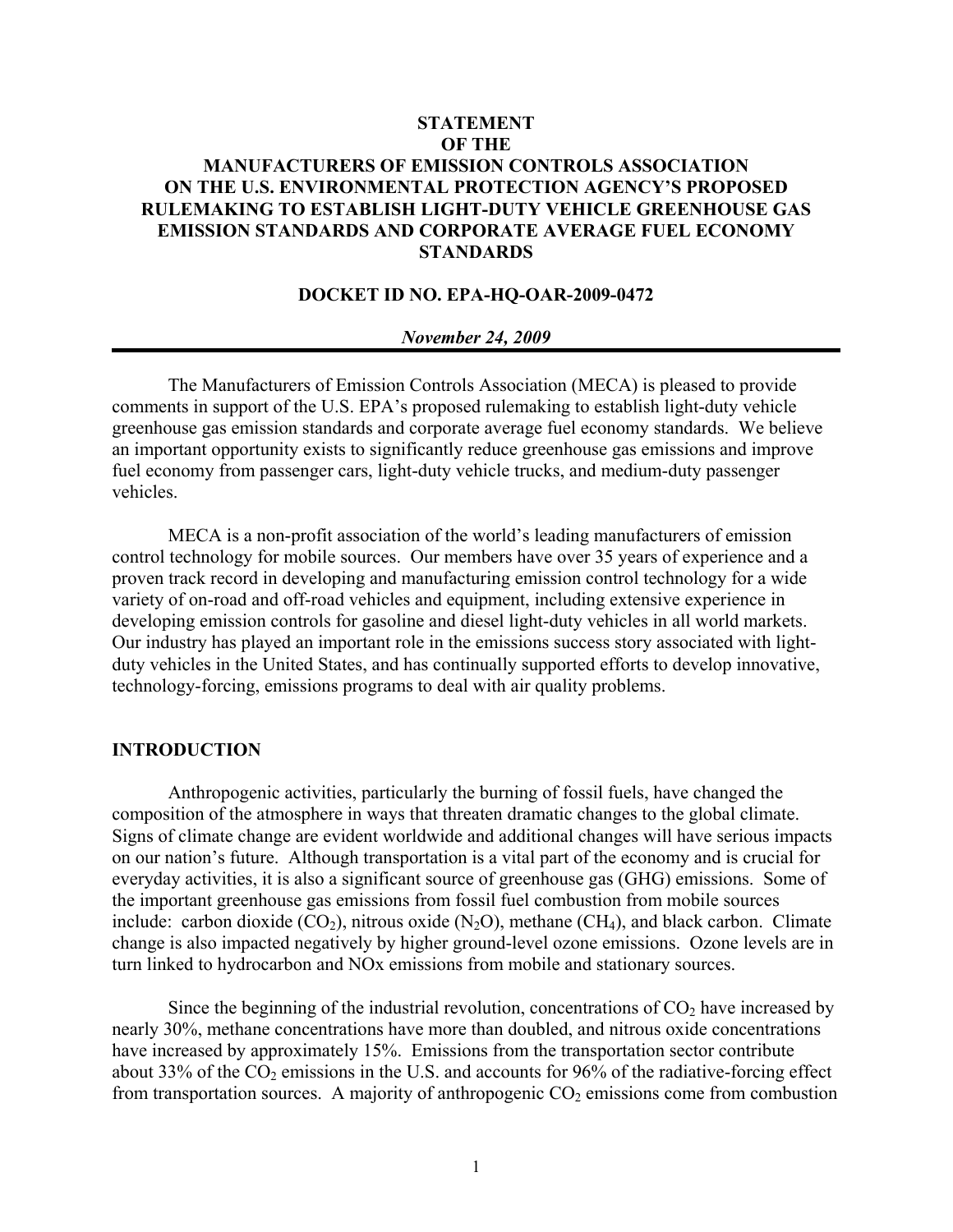# **STATEMENT OF THE MANUFACTURERS OF EMISSION CONTROLS ASSOCIATION ON THE U.S. ENVIRONMENTAL PROTECTION AGENCY'S PROPOSED RULEMAKING TO ESTABLISH LIGHT-DUTY VEHICLE GREENHOUSE GAS EMISSION STANDARDS AND CORPORATE AVERAGE FUEL ECONOMY STANDARDS**

# **DOCKET ID NO. EPA-HQ-OAR-2009-0472**

#### *November 24, 2009*

The Manufacturers of Emission Controls Association (MECA) is pleased to provide comments in support of the U.S. EPA's proposed rulemaking to establish light-duty vehicle greenhouse gas emission standards and corporate average fuel economy standards. We believe an important opportunity exists to significantly reduce greenhouse gas emissions and improve fuel economy from passenger cars, light-duty vehicle trucks, and medium-duty passenger vehicles.

MECA is a non-profit association of the world's leading manufacturers of emission control technology for mobile sources. Our members have over 35 years of experience and a proven track record in developing and manufacturing emission control technology for a wide variety of on-road and off-road vehicles and equipment, including extensive experience in developing emission controls for gasoline and diesel light-duty vehicles in all world markets. Our industry has played an important role in the emissions success story associated with lightduty vehicles in the United States, and has continually supported efforts to develop innovative, technology-forcing, emissions programs to deal with air quality problems.

### **INTRODUCTION**

Anthropogenic activities, particularly the burning of fossil fuels, have changed the composition of the atmosphere in ways that threaten dramatic changes to the global climate. Signs of climate change are evident worldwide and additional changes will have serious impacts on our nation's future. Although transportation is a vital part of the economy and is crucial for everyday activities, it is also a significant source of greenhouse gas (GHG) emissions. Some of the important greenhouse gas emissions from fossil fuel combustion from mobile sources include: carbon dioxide  $(CO_2)$ , nitrous oxide  $(N_2O)$ , methane  $(CH_4)$ , and black carbon. Climate change is also impacted negatively by higher ground-level ozone emissions. Ozone levels are in turn linked to hydrocarbon and NOx emissions from mobile and stationary sources.

Since the beginning of the industrial revolution, concentrations of  $CO<sub>2</sub>$  have increased by nearly 30%, methane concentrations have more than doubled, and nitrous oxide concentrations have increased by approximately 15%. Emissions from the transportation sector contribute about 33% of the  $CO<sub>2</sub>$  emissions in the U.S. and accounts for 96% of the radiative-forcing effect from transportation sources. A majority of anthropogenic  $CO<sub>2</sub>$  emissions come from combustion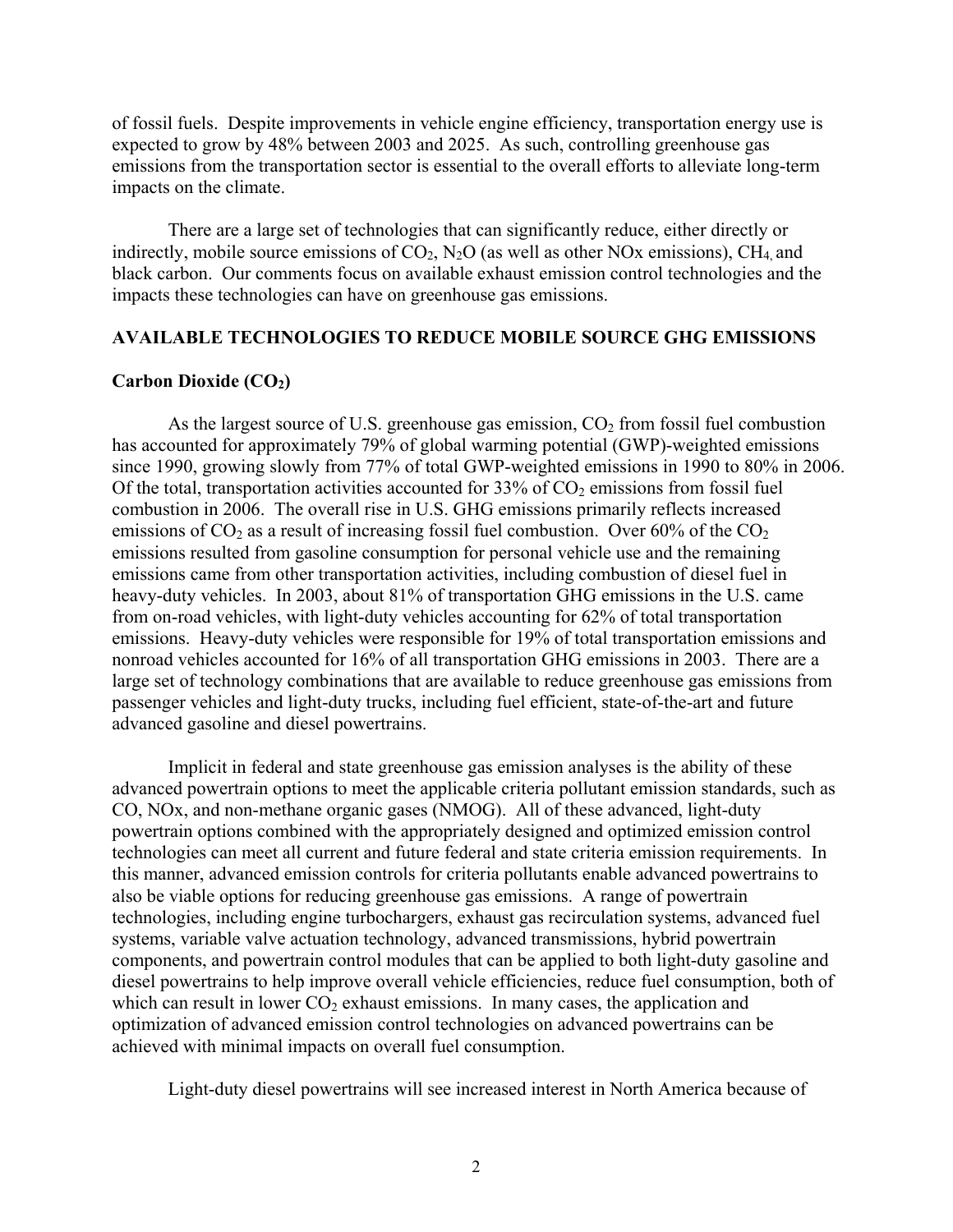of fossil fuels. Despite improvements in vehicle engine efficiency, transportation energy use is expected to grow by 48% between 2003 and 2025. As such, controlling greenhouse gas emissions from the transportation sector is essential to the overall efforts to alleviate long-term impacts on the climate.

 There are a large set of technologies that can significantly reduce, either directly or indirectly, mobile source emissions of  $CO<sub>2</sub>$ , N<sub>2</sub>O (as well as other NOx emissions), CH<sub>4</sub> and black carbon. Our comments focus on available exhaust emission control technologies and the impacts these technologies can have on greenhouse gas emissions.

## **AVAILABLE TECHNOLOGIES TO REDUCE MOBILE SOURCE GHG EMISSIONS**

## Carbon Dioxide (CO<sub>2</sub>)

As the largest source of U.S. greenhouse gas emission,  $CO<sub>2</sub>$  from fossil fuel combustion has accounted for approximately 79% of global warming potential (GWP)-weighted emissions since 1990, growing slowly from 77% of total GWP-weighted emissions in 1990 to 80% in 2006. Of the total, transportation activities accounted for  $33\%$  of  $CO<sub>2</sub>$  emissions from fossil fuel combustion in 2006. The overall rise in U.S. GHG emissions primarily reflects increased emissions of  $CO_2$  as a result of increasing fossil fuel combustion. Over 60% of the  $CO_2$ emissions resulted from gasoline consumption for personal vehicle use and the remaining emissions came from other transportation activities, including combustion of diesel fuel in heavy-duty vehicles. In 2003, about 81% of transportation GHG emissions in the U.S. came from on-road vehicles, with light-duty vehicles accounting for 62% of total transportation emissions. Heavy-duty vehicles were responsible for 19% of total transportation emissions and nonroad vehicles accounted for 16% of all transportation GHG emissions in 2003. There are a large set of technology combinations that are available to reduce greenhouse gas emissions from passenger vehicles and light-duty trucks, including fuel efficient, state-of-the-art and future advanced gasoline and diesel powertrains.

Implicit in federal and state greenhouse gas emission analyses is the ability of these advanced powertrain options to meet the applicable criteria pollutant emission standards, such as CO, NOx, and non-methane organic gases (NMOG). All of these advanced, light-duty powertrain options combined with the appropriately designed and optimized emission control technologies can meet all current and future federal and state criteria emission requirements. In this manner, advanced emission controls for criteria pollutants enable advanced powertrains to also be viable options for reducing greenhouse gas emissions. A range of powertrain technologies, including engine turbochargers, exhaust gas recirculation systems, advanced fuel systems, variable valve actuation technology, advanced transmissions, hybrid powertrain components, and powertrain control modules that can be applied to both light-duty gasoline and diesel powertrains to help improve overall vehicle efficiencies, reduce fuel consumption, both of which can result in lower  $CO<sub>2</sub>$  exhaust emissions. In many cases, the application and optimization of advanced emission control technologies on advanced powertrains can be achieved with minimal impacts on overall fuel consumption.

Light-duty diesel powertrains will see increased interest in North America because of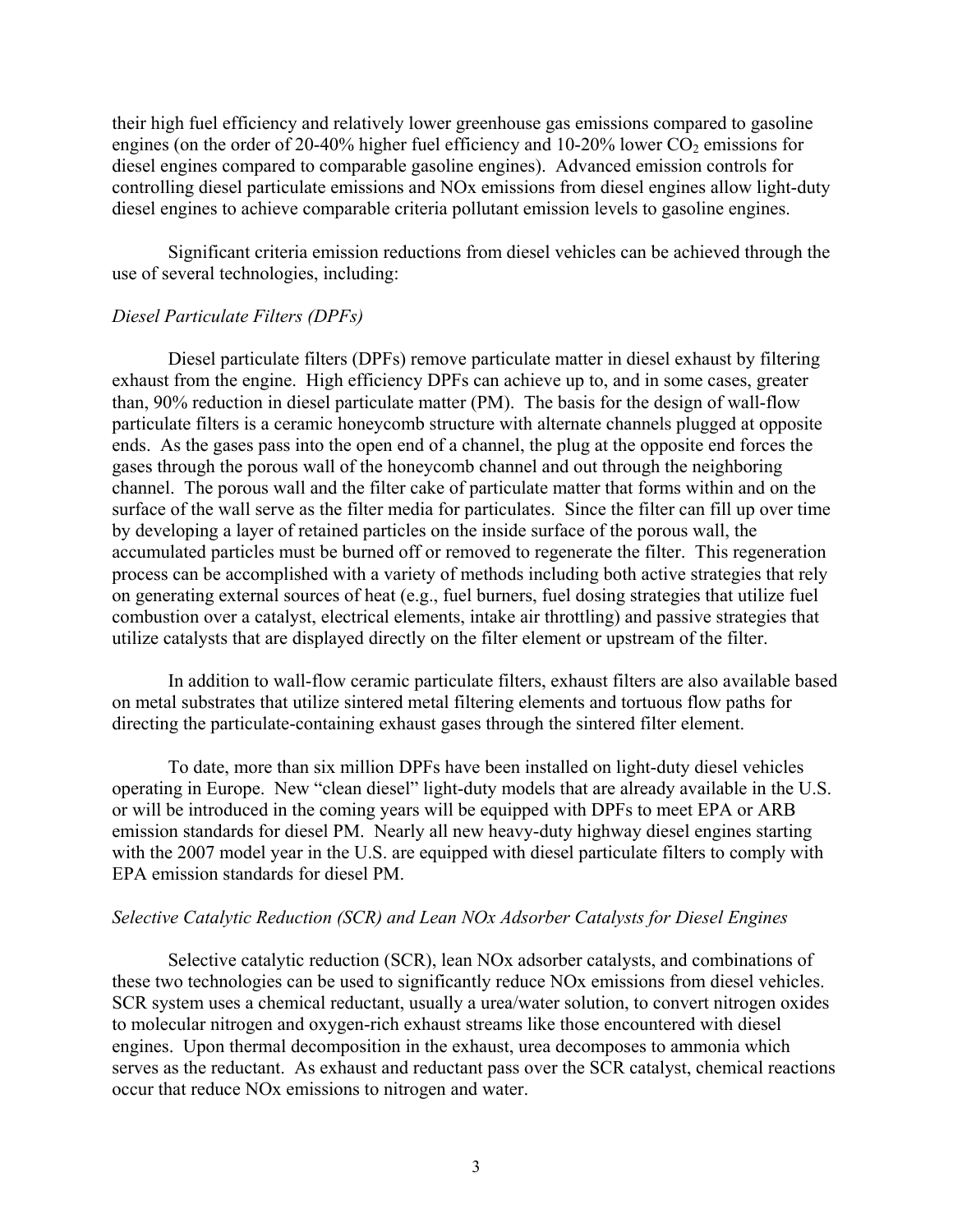their high fuel efficiency and relatively lower greenhouse gas emissions compared to gasoline engines (on the order of 20-40% higher fuel efficiency and  $10{\text -}20\%$  lower  $CO_2$  emissions for diesel engines compared to comparable gasoline engines). Advanced emission controls for controlling diesel particulate emissions and NOx emissions from diesel engines allow light-duty diesel engines to achieve comparable criteria pollutant emission levels to gasoline engines.

Significant criteria emission reductions from diesel vehicles can be achieved through the use of several technologies, including:

## *Diesel Particulate Filters (DPFs)*

Diesel particulate filters (DPFs) remove particulate matter in diesel exhaust by filtering exhaust from the engine. High efficiency DPFs can achieve up to, and in some cases, greater than, 90% reduction in diesel particulate matter (PM). The basis for the design of wall-flow particulate filters is a ceramic honeycomb structure with alternate channels plugged at opposite ends. As the gases pass into the open end of a channel, the plug at the opposite end forces the gases through the porous wall of the honeycomb channel and out through the neighboring channel. The porous wall and the filter cake of particulate matter that forms within and on the surface of the wall serve as the filter media for particulates. Since the filter can fill up over time by developing a layer of retained particles on the inside surface of the porous wall, the accumulated particles must be burned off or removed to regenerate the filter. This regeneration process can be accomplished with a variety of methods including both active strategies that rely on generating external sources of heat (e.g., fuel burners, fuel dosing strategies that utilize fuel combustion over a catalyst, electrical elements, intake air throttling) and passive strategies that utilize catalysts that are displayed directly on the filter element or upstream of the filter.

In addition to wall-flow ceramic particulate filters, exhaust filters are also available based on metal substrates that utilize sintered metal filtering elements and tortuous flow paths for directing the particulate-containing exhaust gases through the sintered filter element.

To date, more than six million DPFs have been installed on light-duty diesel vehicles operating in Europe. New "clean diesel" light-duty models that are already available in the U.S. or will be introduced in the coming years will be equipped with DPFs to meet EPA or ARB emission standards for diesel PM. Nearly all new heavy-duty highway diesel engines starting with the 2007 model year in the U.S. are equipped with diesel particulate filters to comply with EPA emission standards for diesel PM.

## *Selective Catalytic Reduction (SCR) and Lean NOx Adsorber Catalysts for Diesel Engines*

Selective catalytic reduction (SCR), lean NOx adsorber catalysts, and combinations of these two technologies can be used to significantly reduce NOx emissions from diesel vehicles. SCR system uses a chemical reductant, usually a urea/water solution, to convert nitrogen oxides to molecular nitrogen and oxygen-rich exhaust streams like those encountered with diesel engines. Upon thermal decomposition in the exhaust, urea decomposes to ammonia which serves as the reductant. As exhaust and reductant pass over the SCR catalyst, chemical reactions occur that reduce NOx emissions to nitrogen and water.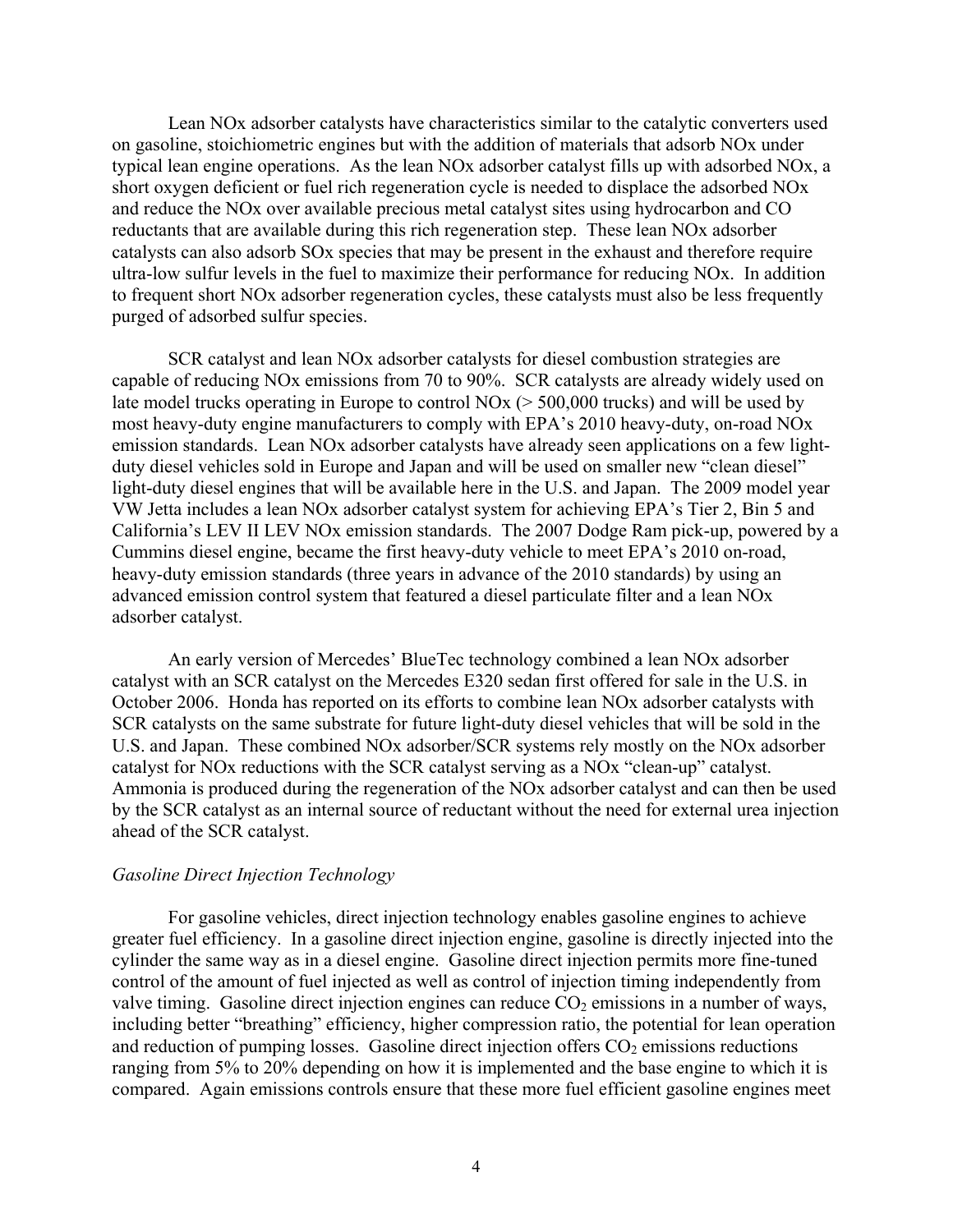Lean NOx adsorber catalysts have characteristics similar to the catalytic converters used on gasoline, stoichiometric engines but with the addition of materials that adsorb NOx under typical lean engine operations. As the lean NOx adsorber catalyst fills up with adsorbed NOx, a short oxygen deficient or fuel rich regeneration cycle is needed to displace the adsorbed NOx and reduce the NOx over available precious metal catalyst sites using hydrocarbon and CO reductants that are available during this rich regeneration step. These lean NOx adsorber catalysts can also adsorb SOx species that may be present in the exhaust and therefore require ultra-low sulfur levels in the fuel to maximize their performance for reducing NOx. In addition to frequent short NOx adsorber regeneration cycles, these catalysts must also be less frequently purged of adsorbed sulfur species.

SCR catalyst and lean NOx adsorber catalysts for diesel combustion strategies are capable of reducing NOx emissions from 70 to 90%. SCR catalysts are already widely used on late model trucks operating in Europe to control NOx (> 500,000 trucks) and will be used by most heavy-duty engine manufacturers to comply with EPA's 2010 heavy-duty, on-road NOx emission standards. Lean NOx adsorber catalysts have already seen applications on a few lightduty diesel vehicles sold in Europe and Japan and will be used on smaller new "clean diesel" light-duty diesel engines that will be available here in the U.S. and Japan. The 2009 model year VW Jetta includes a lean NOx adsorber catalyst system for achieving EPA's Tier 2, Bin 5 and California's LEV II LEV NOx emission standards. The 2007 Dodge Ram pick-up, powered by a Cummins diesel engine, became the first heavy-duty vehicle to meet EPA's 2010 on-road, heavy-duty emission standards (three years in advance of the 2010 standards) by using an advanced emission control system that featured a diesel particulate filter and a lean NOx adsorber catalyst.

An early version of Mercedes' BlueTec technology combined a lean NOx adsorber catalyst with an SCR catalyst on the Mercedes E320 sedan first offered for sale in the U.S. in October 2006. Honda has reported on its efforts to combine lean NOx adsorber catalysts with SCR catalysts on the same substrate for future light-duty diesel vehicles that will be sold in the U.S. and Japan. These combined NOx adsorber/SCR systems rely mostly on the NOx adsorber catalyst for NOx reductions with the SCR catalyst serving as a NOx "clean-up" catalyst. Ammonia is produced during the regeneration of the NOx adsorber catalyst and can then be used by the SCR catalyst as an internal source of reductant without the need for external urea injection ahead of the SCR catalyst.

## *Gasoline Direct Injection Technology*

For gasoline vehicles, direct injection technology enables gasoline engines to achieve greater fuel efficiency. In a gasoline direct injection engine, gasoline is directly injected into the cylinder the same way as in a diesel engine. Gasoline direct injection permits more fine-tuned control of the amount of fuel injected as well as control of injection timing independently from valve timing. Gasoline direct injection engines can reduce  $CO<sub>2</sub>$  emissions in a number of ways, including better "breathing" efficiency, higher compression ratio, the potential for lean operation and reduction of pumping losses. Gasoline direct injection offers  $CO<sub>2</sub>$  emissions reductions ranging from 5% to 20% depending on how it is implemented and the base engine to which it is compared. Again emissions controls ensure that these more fuel efficient gasoline engines meet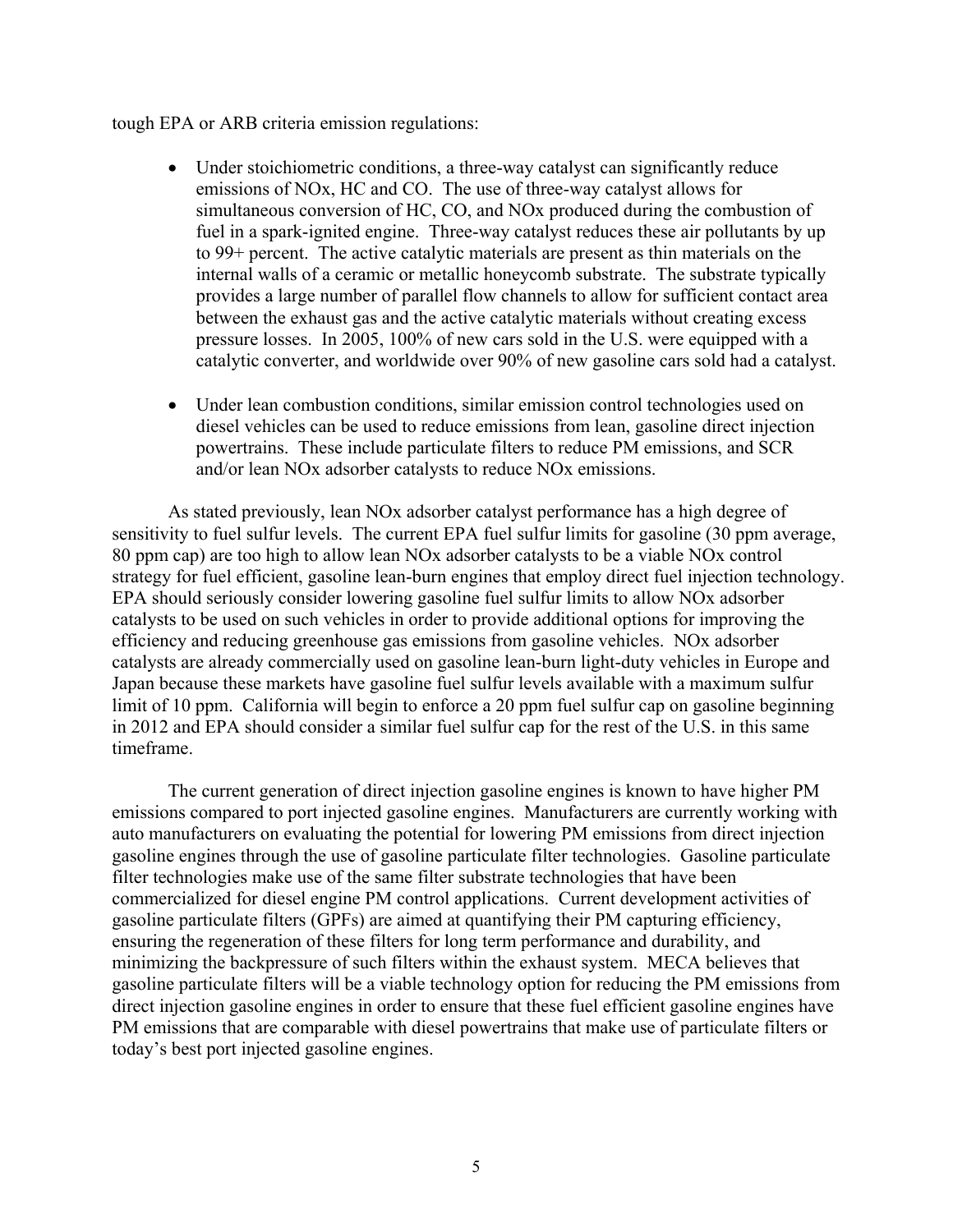## tough EPA or ARB criteria emission regulations:

- Under stoichiometric conditions, a three-way catalyst can significantly reduce emissions of NOx, HC and CO. The use of three-way catalyst allows for simultaneous conversion of HC, CO, and NOx produced during the combustion of fuel in a spark-ignited engine. Three-way catalyst reduces these air pollutants by up to 99+ percent. The active catalytic materials are present as thin materials on the internal walls of a ceramic or metallic honeycomb substrate. The substrate typically provides a large number of parallel flow channels to allow for sufficient contact area between the exhaust gas and the active catalytic materials without creating excess pressure losses. In 2005, 100% of new cars sold in the U.S. were equipped with a catalytic converter, and worldwide over 90% of new gasoline cars sold had a catalyst.
- Under lean combustion conditions, similar emission control technologies used on diesel vehicles can be used to reduce emissions from lean, gasoline direct injection powertrains. These include particulate filters to reduce PM emissions, and SCR and/or lean NOx adsorber catalysts to reduce NOx emissions.

 As stated previously, lean NOx adsorber catalyst performance has a high degree of sensitivity to fuel sulfur levels. The current EPA fuel sulfur limits for gasoline (30 ppm average, 80 ppm cap) are too high to allow lean NOx adsorber catalysts to be a viable NOx control strategy for fuel efficient, gasoline lean-burn engines that employ direct fuel injection technology. EPA should seriously consider lowering gasoline fuel sulfur limits to allow NOx adsorber catalysts to be used on such vehicles in order to provide additional options for improving the efficiency and reducing greenhouse gas emissions from gasoline vehicles. NOx adsorber catalysts are already commercially used on gasoline lean-burn light-duty vehicles in Europe and Japan because these markets have gasoline fuel sulfur levels available with a maximum sulfur limit of 10 ppm. California will begin to enforce a 20 ppm fuel sulfur cap on gasoline beginning in 2012 and EPA should consider a similar fuel sulfur cap for the rest of the U.S. in this same timeframe.

The current generation of direct injection gasoline engines is known to have higher PM emissions compared to port injected gasoline engines. Manufacturers are currently working with auto manufacturers on evaluating the potential for lowering PM emissions from direct injection gasoline engines through the use of gasoline particulate filter technologies. Gasoline particulate filter technologies make use of the same filter substrate technologies that have been commercialized for diesel engine PM control applications. Current development activities of gasoline particulate filters (GPFs) are aimed at quantifying their PM capturing efficiency, ensuring the regeneration of these filters for long term performance and durability, and minimizing the backpressure of such filters within the exhaust system. MECA believes that gasoline particulate filters will be a viable technology option for reducing the PM emissions from direct injection gasoline engines in order to ensure that these fuel efficient gasoline engines have PM emissions that are comparable with diesel powertrains that make use of particulate filters or today's best port injected gasoline engines.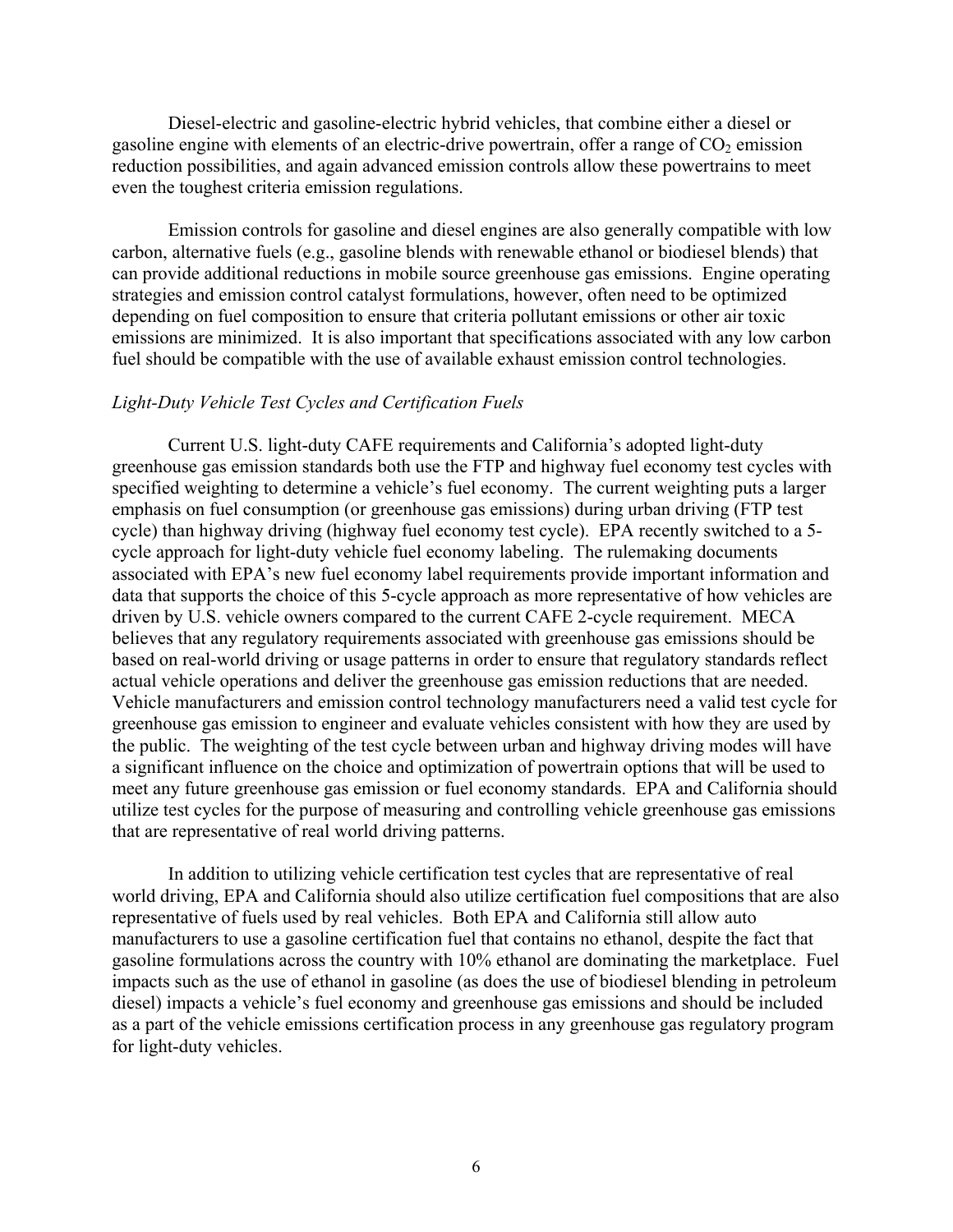Diesel-electric and gasoline-electric hybrid vehicles, that combine either a diesel or gasoline engine with elements of an electric-drive powertrain, offer a range of  $CO<sub>2</sub>$  emission reduction possibilities, and again advanced emission controls allow these powertrains to meet even the toughest criteria emission regulations.

Emission controls for gasoline and diesel engines are also generally compatible with low carbon, alternative fuels (e.g., gasoline blends with renewable ethanol or biodiesel blends) that can provide additional reductions in mobile source greenhouse gas emissions. Engine operating strategies and emission control catalyst formulations, however, often need to be optimized depending on fuel composition to ensure that criteria pollutant emissions or other air toxic emissions are minimized. It is also important that specifications associated with any low carbon fuel should be compatible with the use of available exhaust emission control technologies.

### *Light-Duty Vehicle Test Cycles and Certification Fuels*

 Current U.S. light-duty CAFE requirements and California's adopted light-duty greenhouse gas emission standards both use the FTP and highway fuel economy test cycles with specified weighting to determine a vehicle's fuel economy. The current weighting puts a larger emphasis on fuel consumption (or greenhouse gas emissions) during urban driving (FTP test cycle) than highway driving (highway fuel economy test cycle). EPA recently switched to a 5 cycle approach for light-duty vehicle fuel economy labeling. The rulemaking documents associated with EPA's new fuel economy label requirements provide important information and data that supports the choice of this 5-cycle approach as more representative of how vehicles are driven by U.S. vehicle owners compared to the current CAFE 2-cycle requirement. MECA believes that any regulatory requirements associated with greenhouse gas emissions should be based on real-world driving or usage patterns in order to ensure that regulatory standards reflect actual vehicle operations and deliver the greenhouse gas emission reductions that are needed. Vehicle manufacturers and emission control technology manufacturers need a valid test cycle for greenhouse gas emission to engineer and evaluate vehicles consistent with how they are used by the public. The weighting of the test cycle between urban and highway driving modes will have a significant influence on the choice and optimization of powertrain options that will be used to meet any future greenhouse gas emission or fuel economy standards. EPA and California should utilize test cycles for the purpose of measuring and controlling vehicle greenhouse gas emissions that are representative of real world driving patterns.

 In addition to utilizing vehicle certification test cycles that are representative of real world driving, EPA and California should also utilize certification fuel compositions that are also representative of fuels used by real vehicles. Both EPA and California still allow auto manufacturers to use a gasoline certification fuel that contains no ethanol, despite the fact that gasoline formulations across the country with 10% ethanol are dominating the marketplace. Fuel impacts such as the use of ethanol in gasoline (as does the use of biodiesel blending in petroleum diesel) impacts a vehicle's fuel economy and greenhouse gas emissions and should be included as a part of the vehicle emissions certification process in any greenhouse gas regulatory program for light-duty vehicles.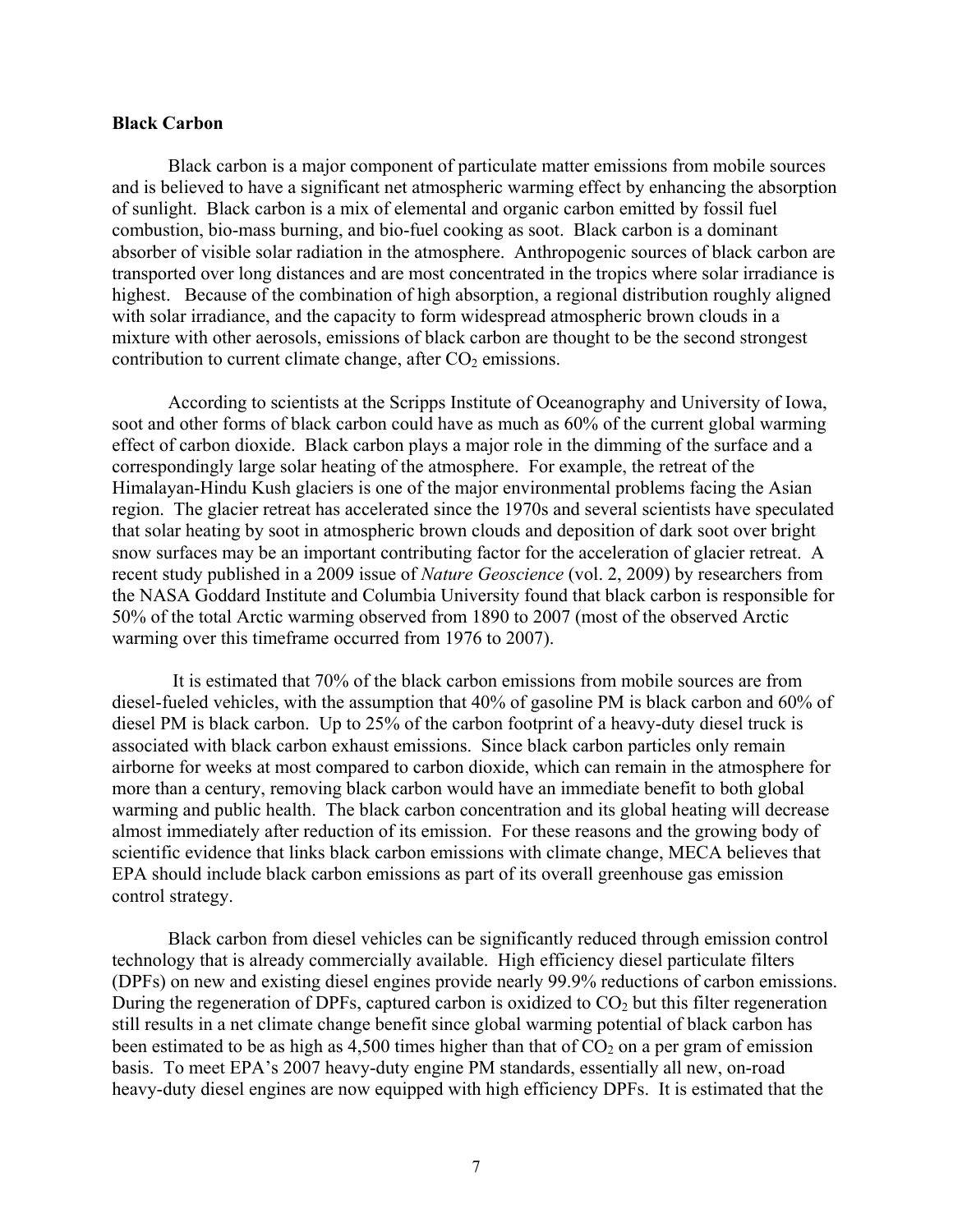## **Black Carbon**

Black carbon is a major component of particulate matter emissions from mobile sources and is believed to have a significant net atmospheric warming effect by enhancing the absorption of sunlight. Black carbon is a mix of elemental and organic carbon emitted by fossil fuel combustion, bio-mass burning, and bio-fuel cooking as soot. Black carbon is a dominant absorber of visible solar radiation in the atmosphere. Anthropogenic sources of black carbon are transported over long distances and are most concentrated in the tropics where solar irradiance is highest. Because of the combination of high absorption, a regional distribution roughly aligned with solar irradiance, and the capacity to form widespread atmospheric brown clouds in a mixture with other aerosols, emissions of black carbon are thought to be the second strongest contribution to current climate change, after  $CO<sub>2</sub>$  emissions.

According to scientists at the Scripps Institute of Oceanography and University of Iowa, soot and other forms of black carbon could have as much as 60% of the current global warming effect of carbon dioxide. Black carbon plays a major role in the dimming of the surface and a correspondingly large solar heating of the atmosphere. For example, the retreat of the Himalayan-Hindu Kush glaciers is one of the major environmental problems facing the Asian region. The glacier retreat has accelerated since the 1970s and several scientists have speculated that solar heating by soot in atmospheric brown clouds and deposition of dark soot over bright snow surfaces may be an important contributing factor for the acceleration of glacier retreat. A recent study published in a 2009 issue of *Nature Geoscience* (vol. 2, 2009) by researchers from the NASA Goddard Institute and Columbia University found that black carbon is responsible for 50% of the total Arctic warming observed from 1890 to 2007 (most of the observed Arctic warming over this timeframe occurred from 1976 to 2007).

 It is estimated that 70% of the black carbon emissions from mobile sources are from diesel-fueled vehicles, with the assumption that 40% of gasoline PM is black carbon and 60% of diesel PM is black carbon. Up to 25% of the carbon footprint of a heavy-duty diesel truck is associated with black carbon exhaust emissions. Since black carbon particles only remain airborne for weeks at most compared to carbon dioxide, which can remain in the atmosphere for more than a century, removing black carbon would have an immediate benefit to both global warming and public health. The black carbon concentration and its global heating will decrease almost immediately after reduction of its emission. For these reasons and the growing body of scientific evidence that links black carbon emissions with climate change, MECA believes that EPA should include black carbon emissions as part of its overall greenhouse gas emission control strategy.

 Black carbon from diesel vehicles can be significantly reduced through emission control technology that is already commercially available. High efficiency diesel particulate filters (DPFs) on new and existing diesel engines provide nearly 99.9% reductions of carbon emissions. During the regeneration of DPFs, captured carbon is oxidized to  $CO<sub>2</sub>$  but this filter regeneration still results in a net climate change benefit since global warming potential of black carbon has been estimated to be as high as 4,500 times higher than that of  $CO<sub>2</sub>$  on a per gram of emission basis. To meet EPA's 2007 heavy-duty engine PM standards, essentially all new, on-road heavy-duty diesel engines are now equipped with high efficiency DPFs. It is estimated that the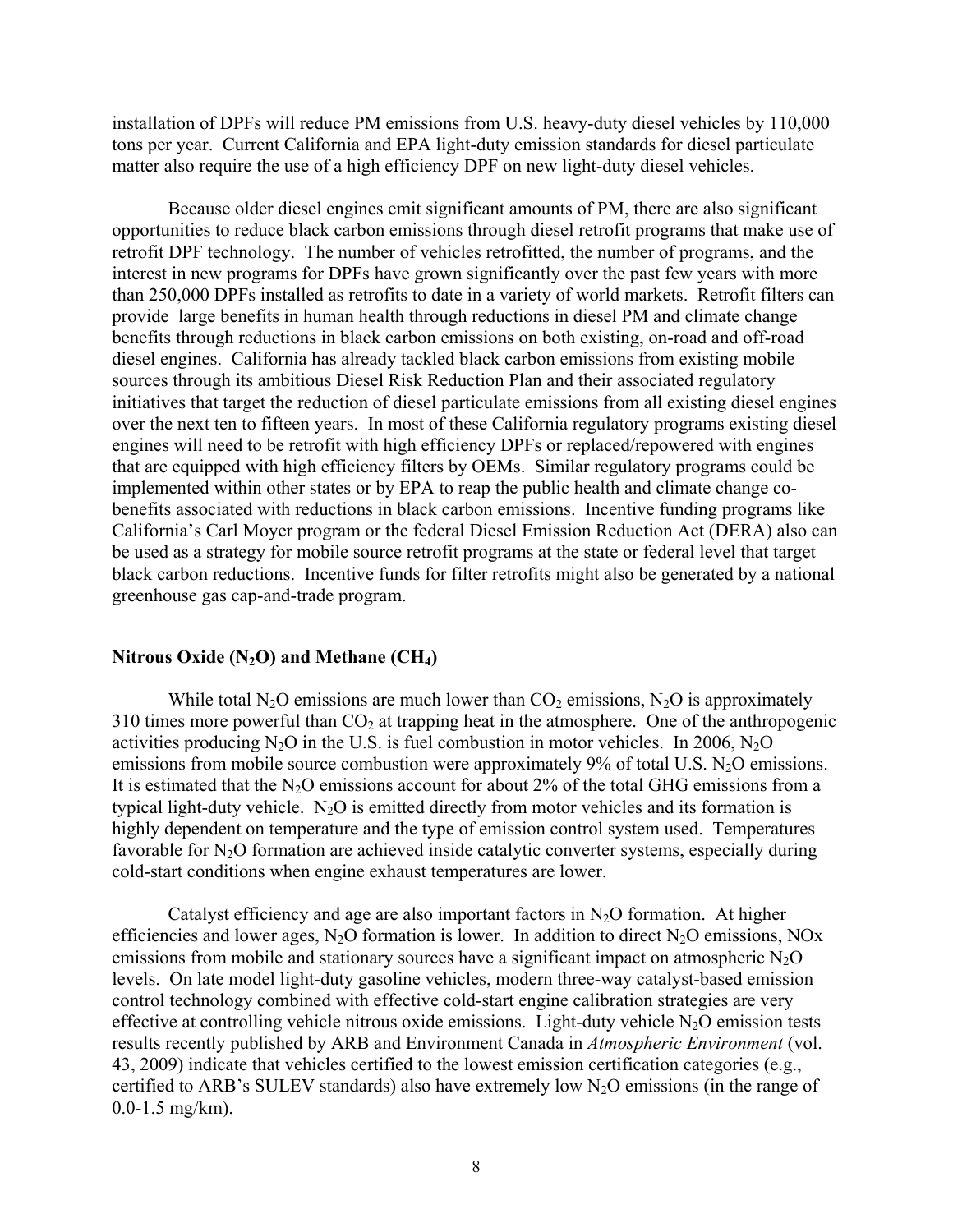installation of DPFs will reduce PM emissions from U.S. heavy-duty diesel vehicles by 110,000 tons per year. Current California and EPA light-duty emission standards for diesel particulate matter also require the use of a high efficiency DPF on new light-duty diesel vehicles.

Because older diesel engines emit significant amounts of PM, there are also significant opportunities to reduce black carbon emissions through diesel retrofit programs that make use of retrofit DPF technology. The number of vehicles retrofitted, the number of programs, and the interest in new programs for DPFs have grown significantly over the past few years with more than 250,000 DPFs installed as retrofits to date in a variety of world markets. Retrofit filters can provide large benefits in human health through reductions in diesel PM and climate change benefits through reductions in black carbon emissions on both existing, on-road and off-road diesel engines. California has already tackled black carbon emissions from existing mobile sources through its ambitious Diesel Risk Reduction Plan and their associated regulatory initiatives that target the reduction of diesel particulate emissions from all existing diesel engines over the next ten to fifteen years. In most of these California regulatory programs existing diesel engines will need to be retrofit with high efficiency DPFs or replaced/repowered with engines that are equipped with high efficiency filters by OEMs. Similar regulatory programs could be implemented within other states or by EPA to reap the public health and climate change cobenefits associated with reductions in black carbon emissions. Incentive funding programs like California's Carl Moyer program or the federal Diesel Emission Reduction Act (DERA) also can be used as a strategy for mobile source retrofit programs at the state or federal level that target black carbon reductions. Incentive funds for filter retrofits might also be generated by a national greenhouse gas cap-and-trade program.

#### **Nitrous Oxide (N2O) and Methane (CH4)**

While total N<sub>2</sub>O emissions are much lower than  $CO_2$  emissions, N<sub>2</sub>O is approximately 310 times more powerful than  $CO<sub>2</sub>$  at trapping heat in the atmosphere. One of the anthropogenic activities producing  $N_2O$  in the U.S. is fuel combustion in motor vehicles. In 2006,  $N_2O$ emissions from mobile source combustion were approximately  $9\%$  of total U.S. N<sub>2</sub>O emissions. It is estimated that the  $N_2O$  emissions account for about 2% of the total GHG emissions from a typical light-duty vehicle.  $N_2O$  is emitted directly from motor vehicles and its formation is highly dependent on temperature and the type of emission control system used. Temperatures favorable for N<sub>2</sub>O formation are achieved inside catalytic converter systems, especially during cold-start conditions when engine exhaust temperatures are lower.

Catalyst efficiency and age are also important factors in  $N<sub>2</sub>O$  formation. At higher efficiencies and lower ages, N<sub>2</sub>O formation is lower. In addition to direct N<sub>2</sub>O emissions, NO<sub>x</sub> emissions from mobile and stationary sources have a significant impact on atmospheric  $N_2O$ levels. On late model light-duty gasoline vehicles, modern three-way catalyst-based emission control technology combined with effective cold-start engine calibration strategies are very effective at controlling vehicle nitrous oxide emissions. Light-duty vehicle  $N_2O$  emission tests results recently published by ARB and Environment Canada in *Atmospheric Environment* (vol. 43, 2009) indicate that vehicles certified to the lowest emission certification categories (e.g., certified to ARB's SULEV standards) also have extremely low  $N_2O$  emissions (in the range of 0.0-1.5 mg/km).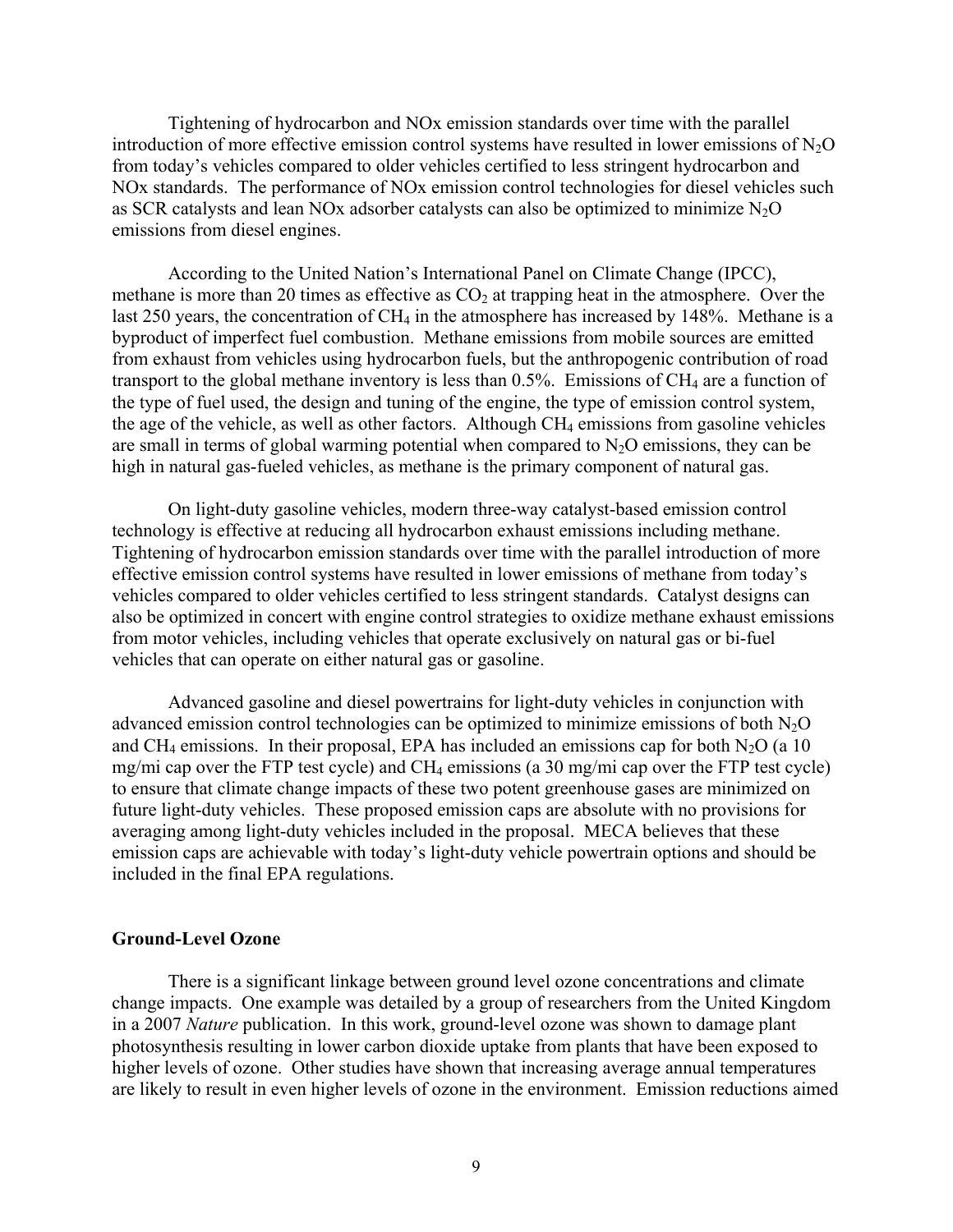Tightening of hydrocarbon and NOx emission standards over time with the parallel introduction of more effective emission control systems have resulted in lower emissions of  $N_2O$ from today's vehicles compared to older vehicles certified to less stringent hydrocarbon and NOx standards. The performance of NOx emission control technologies for diesel vehicles such as SCR catalysts and lean NOx adsorber catalysts can also be optimized to minimize  $N<sub>2</sub>O$ emissions from diesel engines.

According to the United Nation's International Panel on Climate Change (IPCC), methane is more than 20 times as effective as  $CO<sub>2</sub>$  at trapping heat in the atmosphere. Over the last 250 years, the concentration of  $CH_4$  in the atmosphere has increased by 148%. Methane is a byproduct of imperfect fuel combustion. Methane emissions from mobile sources are emitted from exhaust from vehicles using hydrocarbon fuels, but the anthropogenic contribution of road transport to the global methane inventory is less than  $0.5\%$ . Emissions of CH<sub>4</sub> are a function of the type of fuel used, the design and tuning of the engine, the type of emission control system, the age of the vehicle, as well as other factors. Although  $CH_4$  emissions from gasoline vehicles are small in terms of global warming potential when compared to  $N_2O$  emissions, they can be high in natural gas-fueled vehicles, as methane is the primary component of natural gas.

On light-duty gasoline vehicles, modern three-way catalyst-based emission control technology is effective at reducing all hydrocarbon exhaust emissions including methane. Tightening of hydrocarbon emission standards over time with the parallel introduction of more effective emission control systems have resulted in lower emissions of methane from today's vehicles compared to older vehicles certified to less stringent standards. Catalyst designs can also be optimized in concert with engine control strategies to oxidize methane exhaust emissions from motor vehicles, including vehicles that operate exclusively on natural gas or bi-fuel vehicles that can operate on either natural gas or gasoline.

Advanced gasoline and diesel powertrains for light-duty vehicles in conjunction with advanced emission control technologies can be optimized to minimize emissions of both  $N_2O$ and CH<sub>4</sub> emissions. In their proposal, EPA has included an emissions cap for both  $N_2O$  (a 10 mg/mi cap over the FTP test cycle) and  $CH_4$  emissions (a 30 mg/mi cap over the FTP test cycle) to ensure that climate change impacts of these two potent greenhouse gases are minimized on future light-duty vehicles. These proposed emission caps are absolute with no provisions for averaging among light-duty vehicles included in the proposal. MECA believes that these emission caps are achievable with today's light-duty vehicle powertrain options and should be included in the final EPA regulations.

### **Ground-Level Ozone**

 There is a significant linkage between ground level ozone concentrations and climate change impacts. One example was detailed by a group of researchers from the United Kingdom in a 2007 *Nature* publication. In this work, ground-level ozone was shown to damage plant photosynthesis resulting in lower carbon dioxide uptake from plants that have been exposed to higher levels of ozone. Other studies have shown that increasing average annual temperatures are likely to result in even higher levels of ozone in the environment. Emission reductions aimed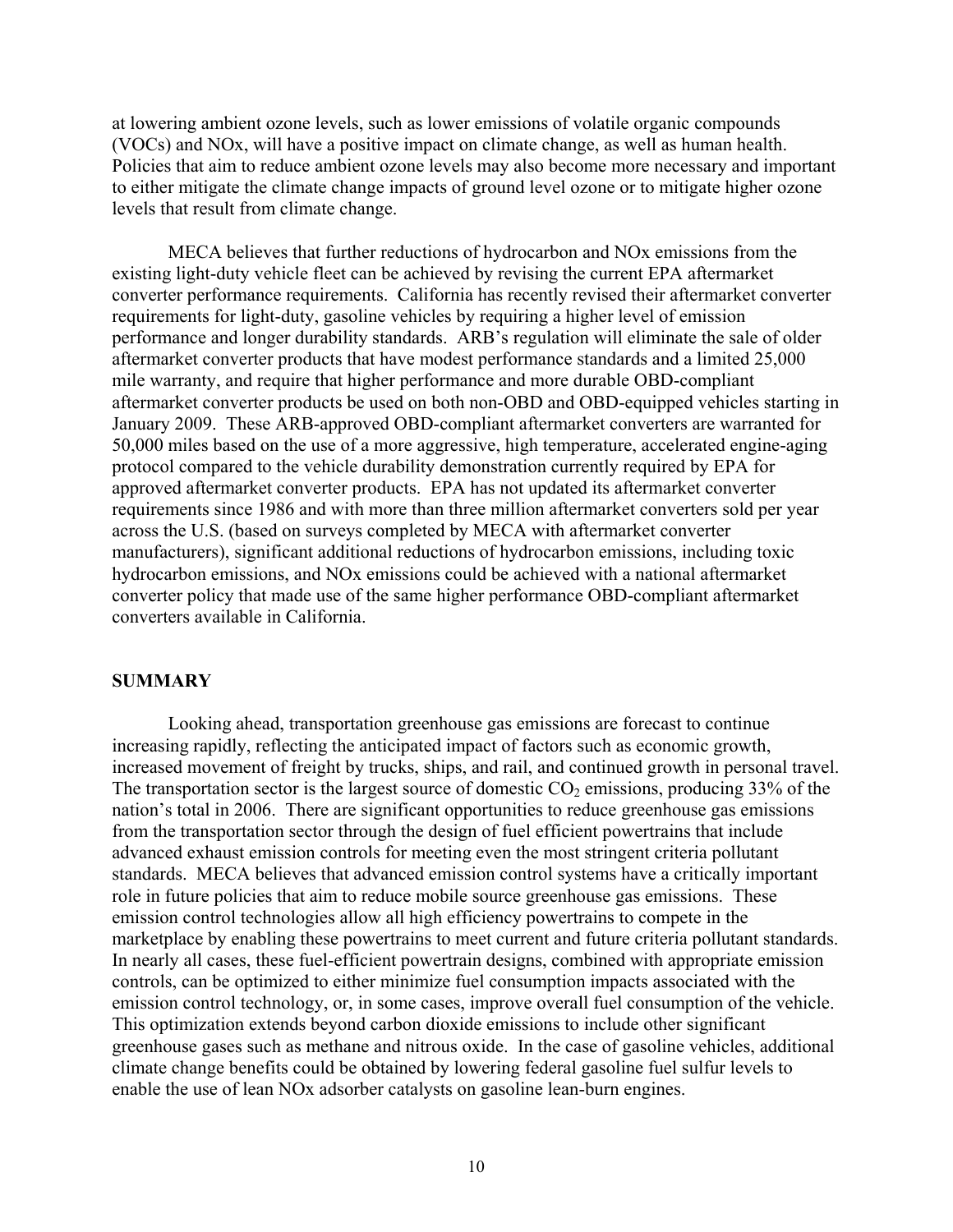at lowering ambient ozone levels, such as lower emissions of volatile organic compounds (VOCs) and NOx, will have a positive impact on climate change, as well as human health. Policies that aim to reduce ambient ozone levels may also become more necessary and important to either mitigate the climate change impacts of ground level ozone or to mitigate higher ozone levels that result from climate change.

MECA believes that further reductions of hydrocarbon and NOx emissions from the existing light-duty vehicle fleet can be achieved by revising the current EPA aftermarket converter performance requirements. California has recently revised their aftermarket converter requirements for light-duty, gasoline vehicles by requiring a higher level of emission performance and longer durability standards. ARB's regulation will eliminate the sale of older aftermarket converter products that have modest performance standards and a limited 25,000 mile warranty, and require that higher performance and more durable OBD-compliant aftermarket converter products be used on both non-OBD and OBD-equipped vehicles starting in January 2009. These ARB-approved OBD-compliant aftermarket converters are warranted for 50,000 miles based on the use of a more aggressive, high temperature, accelerated engine-aging protocol compared to the vehicle durability demonstration currently required by EPA for approved aftermarket converter products. EPA has not updated its aftermarket converter requirements since 1986 and with more than three million aftermarket converters sold per year across the U.S. (based on surveys completed by MECA with aftermarket converter manufacturers), significant additional reductions of hydrocarbon emissions, including toxic hydrocarbon emissions, and NOx emissions could be achieved with a national aftermarket converter policy that made use of the same higher performance OBD-compliant aftermarket converters available in California.

## **SUMMARY**

Looking ahead, transportation greenhouse gas emissions are forecast to continue increasing rapidly, reflecting the anticipated impact of factors such as economic growth, increased movement of freight by trucks, ships, and rail, and continued growth in personal travel. The transportation sector is the largest source of domestic  $CO<sub>2</sub>$  emissions, producing 33% of the nation's total in 2006. There are significant opportunities to reduce greenhouse gas emissions from the transportation sector through the design of fuel efficient powertrains that include advanced exhaust emission controls for meeting even the most stringent criteria pollutant standards. MECA believes that advanced emission control systems have a critically important role in future policies that aim to reduce mobile source greenhouse gas emissions. These emission control technologies allow all high efficiency powertrains to compete in the marketplace by enabling these powertrains to meet current and future criteria pollutant standards. In nearly all cases, these fuel-efficient powertrain designs, combined with appropriate emission controls, can be optimized to either minimize fuel consumption impacts associated with the emission control technology, or, in some cases, improve overall fuel consumption of the vehicle. This optimization extends beyond carbon dioxide emissions to include other significant greenhouse gases such as methane and nitrous oxide. In the case of gasoline vehicles, additional climate change benefits could be obtained by lowering federal gasoline fuel sulfur levels to enable the use of lean NOx adsorber catalysts on gasoline lean-burn engines.